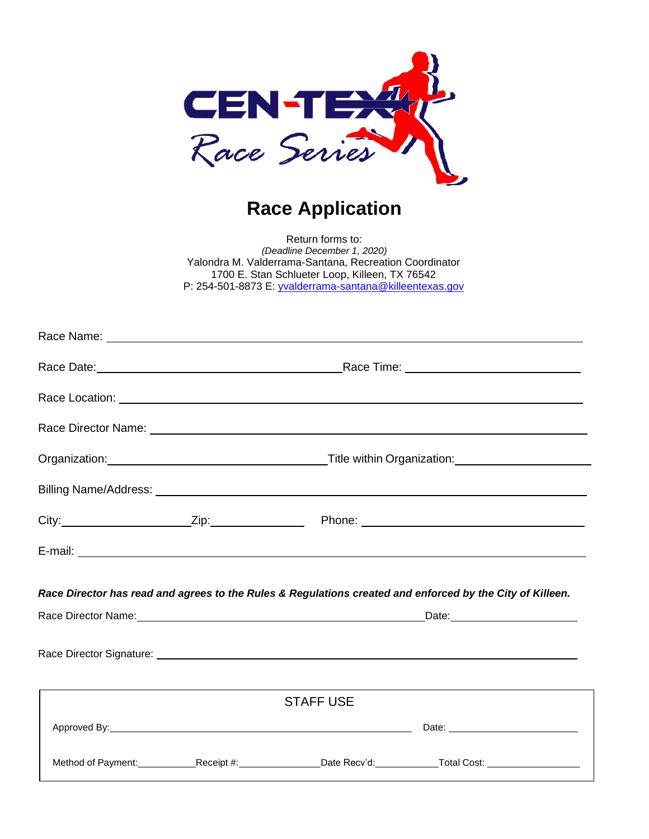

## **Race Application**

Return forms to: *(Deadline December 1, 2020)* Yalondra M. Valderrama-Santana, Recreation Coordinator 1700 E. Stan Schlueter Loop, Killeen, TX 76542 P: 254-501-8873 E: [yvalderrama-santana@killeentexas.gov](mailto:yvalderrama-santana@killeentexas.gov)

|  |                  | Race Director has read and agrees to the Rules & Regulations created and enforced by the City of Killeen.            |
|--|------------------|----------------------------------------------------------------------------------------------------------------------|
|  |                  |                                                                                                                      |
|  |                  |                                                                                                                      |
|  | <b>STAFF USE</b> |                                                                                                                      |
|  |                  | Approved By: 1998. The Contract of Date: 2008. Contract of Date: 2008. Contract of Date: 2008. Contract of Date:     |
|  |                  | Method of Payment: _____________Receipt #: __________________Date Recv'd: ______________Total Cost: ________________ |